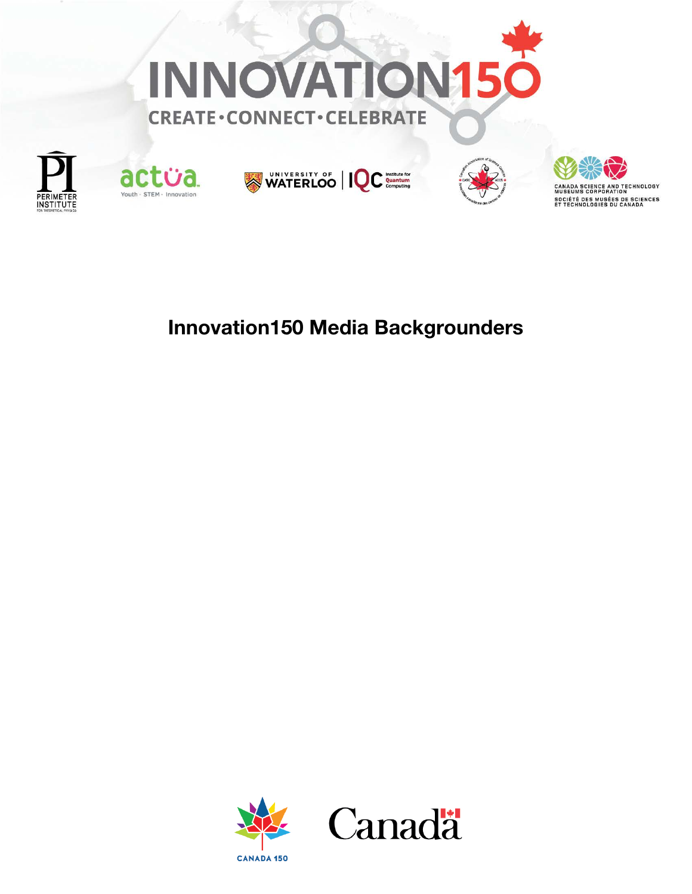











## Innovation150 Media Backgrounders

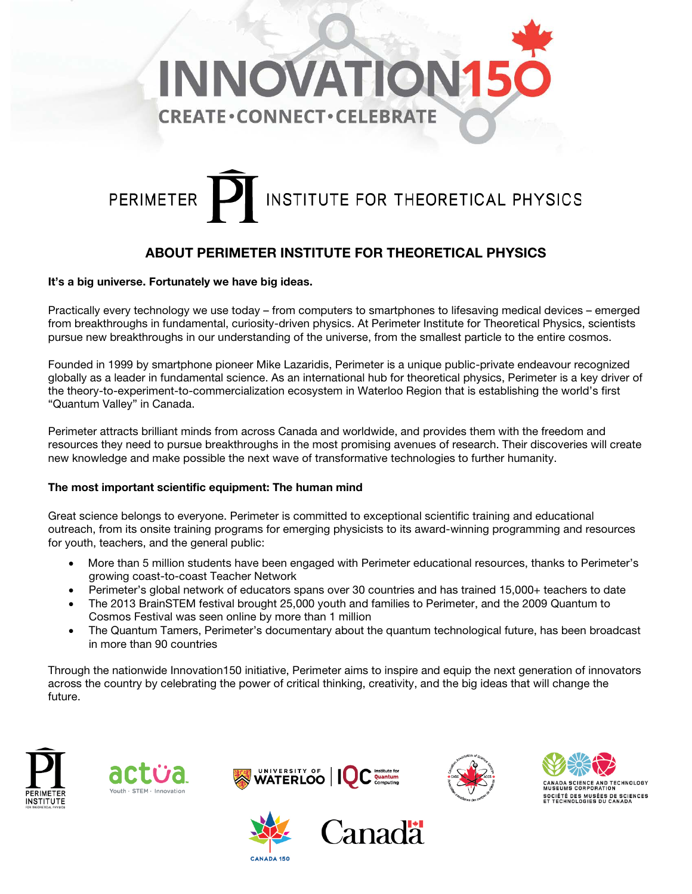

# INSTITUTE FOR THEORETICAL PHYSICS **PERIMETER**

## ABOUT PERIMETER INSTITUTE FOR THEORETICAL PHYSICS

#### It's a big universe. Fortunately we have big ideas.

Practically every technology we use today – from computers to smartphones to lifesaving medical devices – emerged from breakthroughs in fundamental, curiosity-driven physics. At Perimeter Institute for Theoretical Physics, scientists pursue new breakthroughs in our understanding of the universe, from the smallest particle to the entire cosmos.

Founded in 1999 by smartphone pioneer Mike Lazaridis, Perimeter is a unique public-private endeavour recognized globally as a leader in fundamental science. As an international hub for theoretical physics, Perimeter is a key driver of the theory-to-experiment-to-commercialization ecosystem in Waterloo Region that is establishing the world's first "Quantum Valley" in Canada.

Perimeter attracts brilliant minds from across Canada and worldwide, and provides them with the freedom and resources they need to pursue breakthroughs in the most promising avenues of research. Their discoveries will create new knowledge and make possible the next wave of transformative technologies to further humanity.

#### The most important scientific equipment: The human mind

Great science belongs to everyone. Perimeter is committed to exceptional scientific training and educational outreach, from its onsite training programs for emerging physicists to its award-winning programming and resources for youth, teachers, and the general public:

- More than 5 million students have been engaged with Perimeter educational resources, thanks to Perimeter's growing coast-to-coast Teacher Network
- Perimeter's global network of educators spans over 30 countries and has trained 15,000+ teachers to date
- The 2013 BrainSTEM festival brought 25,000 youth and families to Perimeter, and the 2009 Quantum to Cosmos Festival was seen online by more than 1 million
- The Quantum Tamers, Perimeter's documentary about the quantum technological future, has been broadcast in more than 90 countries

Through the nationwide Innovation150 initiative, Perimeter aims to inspire and equip the next generation of innovators across the country by celebrating the power of critical thinking, creativity, and the big ideas that will change the future.













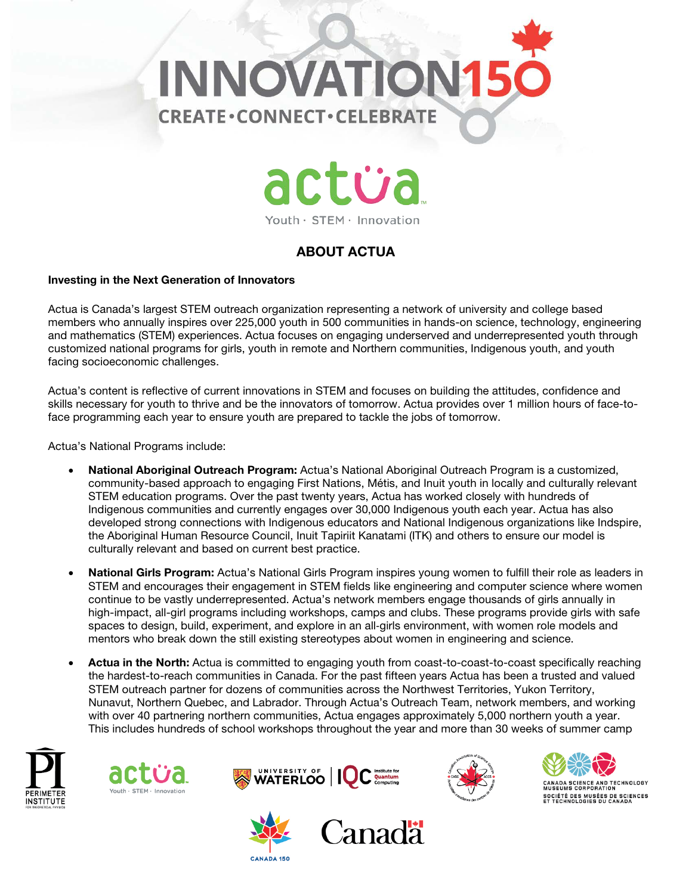



#### Youth · STEM · Innovation

## ABOUT ACTUA

#### Investing in the Next Generation of Innovators

Actua is Canada's largest STEM outreach organization representing a network of university and college based members who annually inspires over 225,000 youth in 500 communities in hands-on science, technology, engineering and mathematics (STEM) experiences. Actua focuses on engaging underserved and underrepresented youth through customized national programs for girls, youth in remote and Northern communities, Indigenous youth, and youth facing socioeconomic challenges.

Actua's content is reflective of current innovations in STEM and focuses on building the attitudes, confidence and skills necessary for youth to thrive and be the innovators of tomorrow. Actua provides over 1 million hours of face-toface programming each year to ensure youth are prepared to tackle the jobs of tomorrow.

Actua's National Programs include:

- National Aboriginal Outreach Program: Actua's National Aboriginal Outreach Program is a customized, community-based approach to engaging First Nations, Métis, and Inuit youth in locally and culturally relevant STEM education programs. Over the past twenty years, Actua has worked closely with hundreds of Indigenous communities and currently engages over 30,000 Indigenous youth each year. Actua has also developed strong connections with Indigenous educators and National Indigenous organizations like Indspire, the Aboriginal Human Resource Council, Inuit Tapiriit Kanatami (ITK) and others to ensure our model is culturally relevant and based on current best practice.
- National Girls Program: Actua's National Girls Program inspires young women to fulfill their role as leaders in STEM and encourages their engagement in STEM fields like engineering and computer science where women continue to be vastly underrepresented. Actua's network members engage thousands of girls annually in high-impact, all-girl programs including workshops, camps and clubs. These programs provide girls with safe spaces to design, build, experiment, and explore in an all-girls environment, with women role models and mentors who break down the still existing stereotypes about women in engineering and science.
- Actua in the North: Actua is committed to engaging youth from coast-to-coast-to-coast specifically reaching the hardest-to-reach communities in Canada. For the past fifteen years Actua has been a trusted and valued STEM outreach partner for dozens of communities across the Northwest Territories, Yukon Territory, Nunavut, Northern Quebec, and Labrador. Through Actua's Outreach Team, network members, and working with over 40 partnering northern communities, Actua engages approximately 5,000 northern youth a year. This includes hundreds of school workshops throughout the year and more than 30 weeks of summer camp













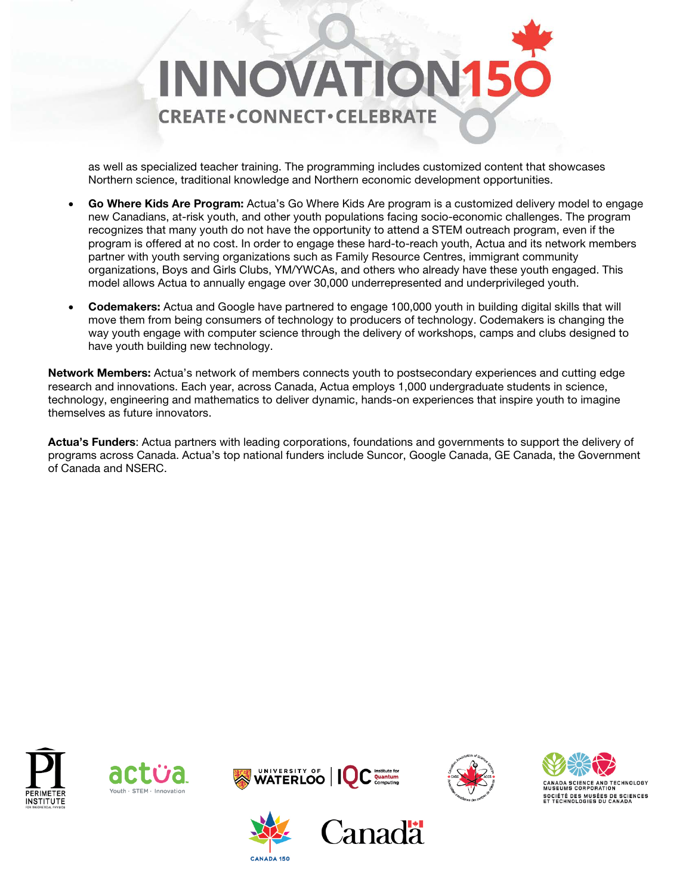

as well as specialized teacher training. The programming includes customized content that showcases Northern science, traditional knowledge and Northern economic development opportunities.

- Go Where Kids Are Program: Actua's Go Where Kids Are program is a customized delivery model to engage new Canadians, at-risk youth, and other youth populations facing socio-economic challenges. The program recognizes that many youth do not have the opportunity to attend a STEM outreach program, even if the program is offered at no cost. In order to engage these hard-to-reach youth, Actua and its network members partner with youth serving organizations such as Family Resource Centres, immigrant community organizations, Boys and Girls Clubs, YM/YWCAs, and others who already have these youth engaged. This model allows Actua to annually engage over 30,000 underrepresented and underprivileged youth.
- Codemakers: Actua and Google have partnered to engage 100,000 youth in building digital skills that will move them from being consumers of technology to producers of technology. Codemakers is changing the way youth engage with computer science through the delivery of workshops, camps and clubs designed to have youth building new technology.

Network Members: Actua's network of members connects youth to postsecondary experiences and cutting edge research and innovations. Each year, across Canada, Actua employs 1,000 undergraduate students in science, technology, engineering and mathematics to deliver dynamic, hands-on experiences that inspire youth to imagine themselves as future innovators.

Actua's Funders: Actua partners with leading corporations, foundations and governments to support the delivery of programs across Canada. Actua's top national funders include Suncor, Google Canada, GE Canada, the Government of Canada and NSERC.











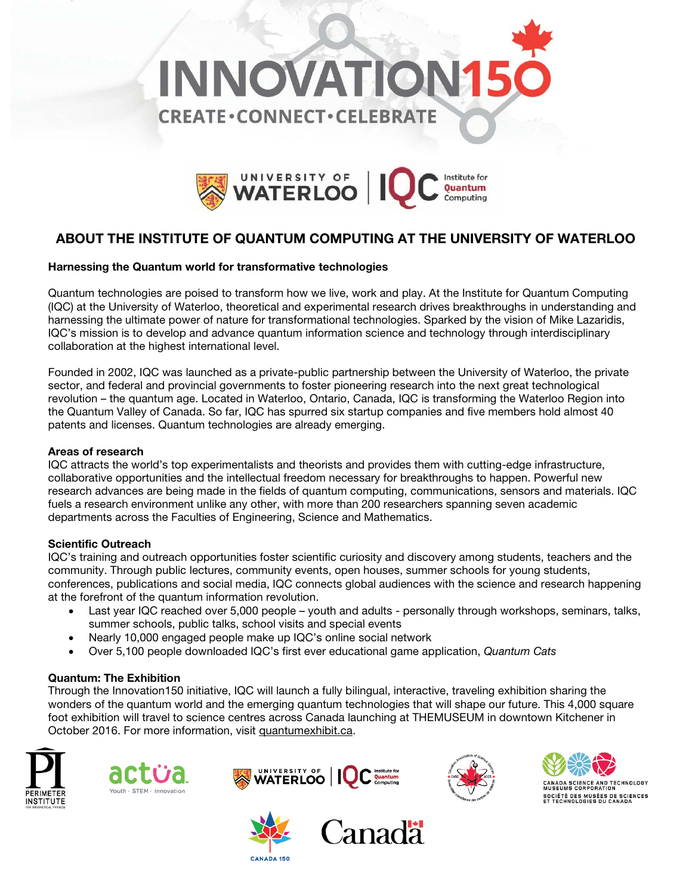



## ABOUT THE INSTITUTE OF QUANTUM COMPUTING AT THE UNIVERSITY OF WATERLOO

#### Harnessing the Quantum world for transformative technologies

Quantum technologies are poised to transform how we live, work and play. At the Institute for Quantum Computing (IQC) at the University of Waterloo, theoretical and experimental research drives breakthroughs in understanding and harnessing the ultimate power of nature for transformational technologies. Sparked by the vision of Mike Lazaridis, IQC's mission is to develop and advance quantum information science and technology through interdisciplinary collaboration at the highest international level.

Founded in 2002, IQC was launched as a private-public partnership between the University of Waterloo, the private sector, and federal and provincial governments to foster pioneering research into the next great technological revolution – the quantum age. Located in Waterloo, Ontario, Canada, IQC is transforming the Waterloo Region into the Quantum Valley of Canada. So far, IQC has spurred six startup companies and five members hold almost 40 patents and licenses. Quantum technologies are already emerging.

#### Areas of research

IQC attracts the world's top experimentalists and theorists and provides them with cutting-edge infrastructure, collaborative opportunities and the intellectual freedom necessary for breakthroughs to happen. Powerful new research advances are being made in the fields of quantum computing, communications, sensors and materials. IQC fuels a research environment unlike any other, with more than 200 researchers spanning seven academic departments across the Faculties of Engineering, Science and Mathematics.

#### Scientific Outreach

IQC's training and outreach opportunities foster scientific curiosity and discovery among students, teachers and the community. Through public lectures, community events, open houses, summer schools for young students, conferences, publications and social media, IQC connects global audiences with the science and research happening at the forefront of the quantum information revolution.

- Last year IQC reached over 5,000 people youth and adults personally through workshops, seminars, talks, summer schools, public talks, school visits and special events
- Nearly 10,000 engaged people make up IQC's online social network
- Over 5,100 people downloaded IQC's first ever educational game application, *Quantum Cats*

#### Quantum: The Exhibition

Through the Innovation150 initiative, IQC will launch a fully bilingual, interactive, traveling exhibition sharing the wonders of the quantum world and the emerging quantum technologies that will shape our future. This 4,000 square foot exhibition will travel to science centres across Canada launching at THEMUSEUM in downtown Kitchener in October 2016. For more information, visit quantumexhibit.ca.











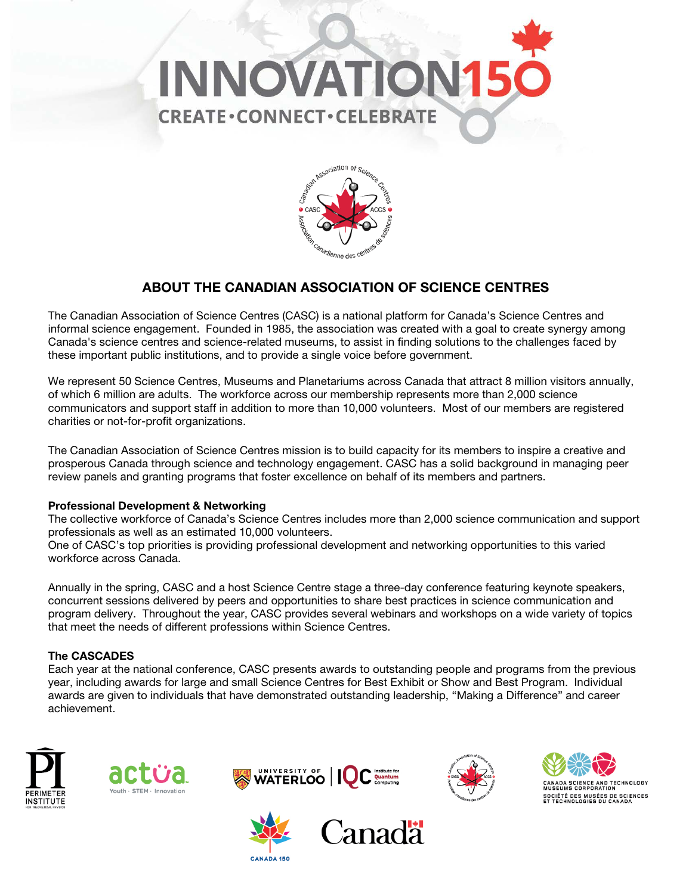



### ABOUT THE CANADIAN ASSOCIATION OF SCIENCE CENTRES

The Canadian Association of Science Centres (CASC) is a national platform for Canada's Science Centres and informal science engagement. Founded in 1985, the association was created with a goal to create synergy among Canada's science centres and science-related museums, to assist in finding solutions to the challenges faced by these important public institutions, and to provide a single voice before government.

We represent 50 Science Centres, Museums and Planetariums across Canada that attract 8 million visitors annually, of which 6 million are adults. The workforce across our membership represents more than 2,000 science communicators and support staff in addition to more than 10,000 volunteers. Most of our members are registered charities or not-for-profit organizations.

The Canadian Association of Science Centres mission is to build capacity for its members to inspire a creative and prosperous Canada through science and technology engagement. CASC has a solid background in managing peer review panels and granting programs that foster excellence on behalf of its members and partners.

#### Professional Development & Networking

The collective workforce of Canada's Science Centres includes more than 2,000 science communication and support professionals as well as an estimated 10,000 volunteers.

One of CASC's top priorities is providing professional development and networking opportunities to this varied workforce across Canada.

Annually in the spring, CASC and a host Science Centre stage a three-day conference featuring keynote speakers, concurrent sessions delivered by peers and opportunities to share best practices in science communication and program delivery. Throughout the year, CASC provides several webinars and workshops on a wide variety of topics that meet the needs of different professions within Science Centres.

#### The CASCADES

Each year at the national conference, CASC presents awards to outstanding people and programs from the previous year, including awards for large and small Science Centres for Best Exhibit or Show and Best Program. Individual awards are given to individuals that have demonstrated outstanding leadership, "Making a Difference" and career achievement.













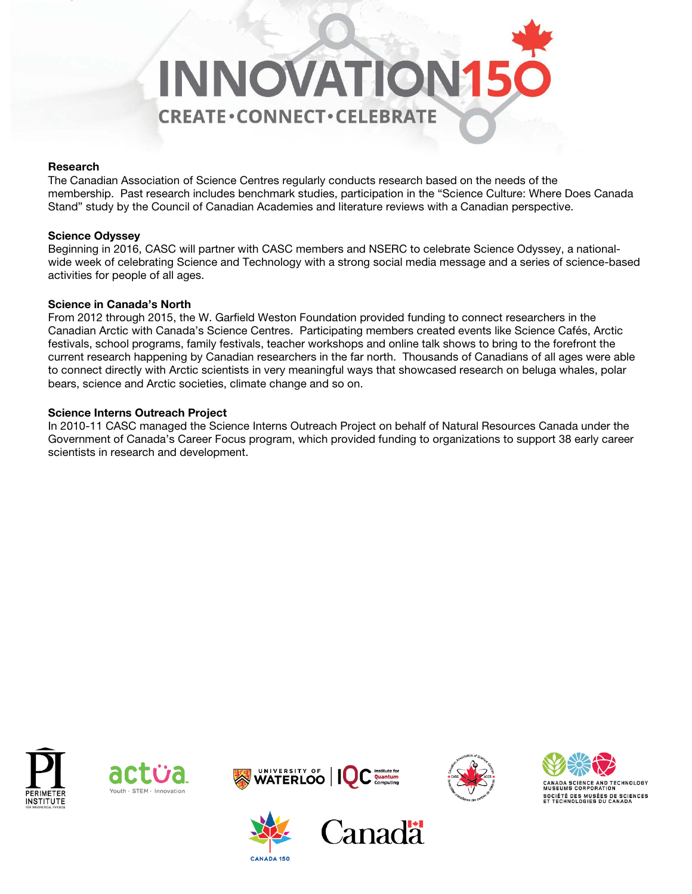

#### Research

The Canadian Association of Science Centres regularly conducts research based on the needs of the membership. Past research includes benchmark studies, participation in the "Science Culture: Where Does Canada Stand" study by the Council of Canadian Academies and literature reviews with a Canadian perspective.

#### Science Odyssey

Beginning in 2016, CASC will partner with CASC members and NSERC to celebrate Science Odyssey, a nationalwide week of celebrating Science and Technology with a strong social media message and a series of science-based activities for people of all ages.

#### Science in Canada's North

From 2012 through 2015, the W. Garfield Weston Foundation provided funding to connect researchers in the Canadian Arctic with Canada's Science Centres. Participating members created events like Science Cafés, Arctic festivals, school programs, family festivals, teacher workshops and online talk shows to bring to the forefront the current research happening by Canadian researchers in the far north. Thousands of Canadians of all ages were able to connect directly with Arctic scientists in very meaningful ways that showcased research on beluga whales, polar bears, science and Arctic societies, climate change and so on.

#### Science Interns Outreach Project

In 2010-11 CASC managed the Science Interns Outreach Project on behalf of Natural Resources Canada under the Government of Canada's Career Focus program, which provided funding to organizations to support 38 early career scientists in research and development.











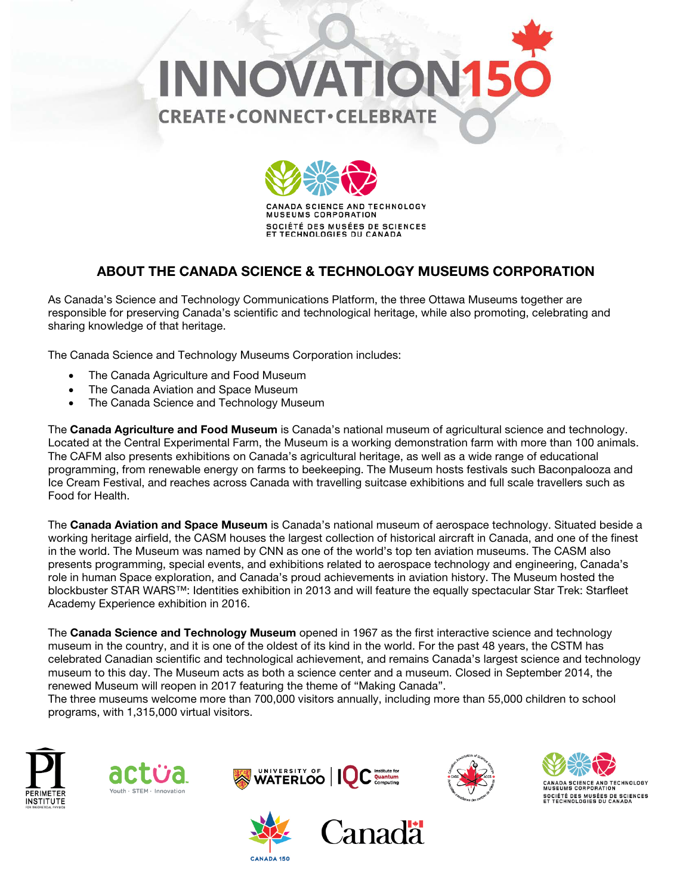



CANADA SCIENCE AND TECHNOLOGY **MUSEUMS CORPORATION** SOCIÉTÉ DES MUSÉES DE SCIENCES ET TECHNOLOGIES DU CANADA

## ABOUT THE CANADA SCIENCE & TECHNOLOGY MUSEUMS CORPORATION

As Canada's Science and Technology Communications Platform, the three Ottawa Museums together are responsible for preserving Canada's scientific and technological heritage, while also promoting, celebrating and sharing knowledge of that heritage.

The Canada Science and Technology Museums Corporation includes:

- The Canada Agriculture and Food Museum
- The Canada Aviation and Space Museum
- The Canada Science and Technology Museum

The Canada Agriculture and Food Museum is Canada's national museum of agricultural science and technology. Located at the Central Experimental Farm, the Museum is a working demonstration farm with more than 100 animals. The CAFM also presents exhibitions on Canada's agricultural heritage, as well as a wide range of educational programming, from renewable energy on farms to beekeeping. The Museum hosts festivals such Baconpalooza and Ice Cream Festival, and reaches across Canada with travelling suitcase exhibitions and full scale travellers such as Food for Health.

The Canada Aviation and Space Museum is Canada's national museum of aerospace technology. Situated beside a working heritage airfield, the CASM houses the largest collection of historical aircraft in Canada, and one of the finest in the world. The Museum was named by CNN as one of the world's top ten aviation museums. The CASM also presents programming, special events, and exhibitions related to aerospace technology and engineering, Canada's role in human Space exploration, and Canada's proud achievements in aviation history. The Museum hosted the blockbuster STAR WARS™: Identities exhibition in 2013 and will feature the equally spectacular Star Trek: Starfleet Academy Experience exhibition in 2016.

The Canada Science and Technology Museum opened in 1967 as the first interactive science and technology museum in the country, and it is one of the oldest of its kind in the world. For the past 48 years, the CSTM has celebrated Canadian scientific and technological achievement, and remains Canada's largest science and technology museum to this day. The Museum acts as both a science center and a museum. Closed in September 2014, the renewed Museum will reopen in 2017 featuring the theme of "Making Canada".

The three museums welcome more than 700,000 visitors annually, including more than 55,000 children to school programs, with 1,315,000 virtual visitors.







**CANADA 150** 



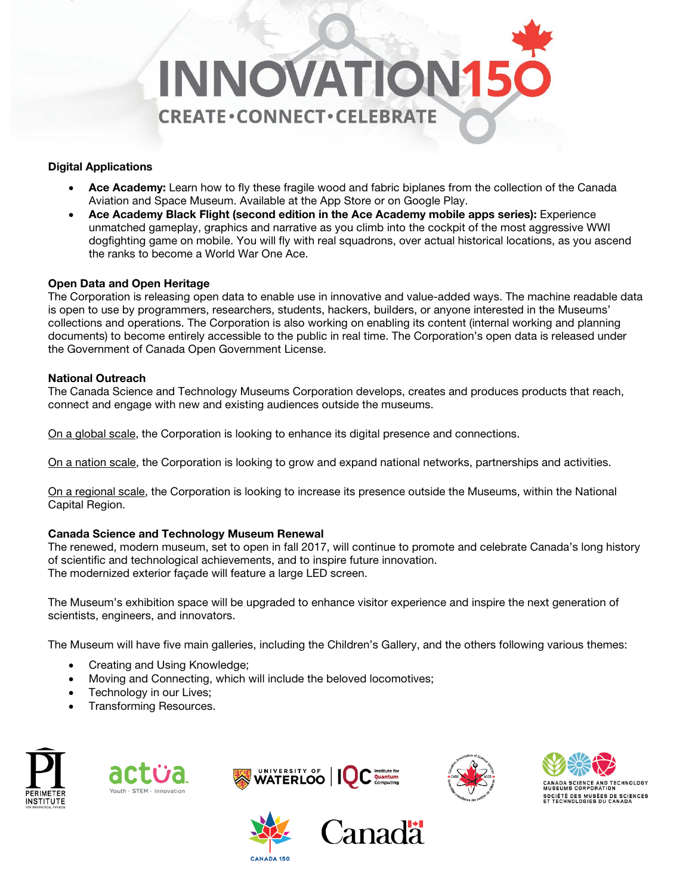

#### Digital Applications

- Ace Academy: Learn how to fly these fragile wood and fabric biplanes from the collection of the Canada Aviation and Space Museum. Available at the App Store or on Google Play.
- Ace Academy Black Flight (second edition in the Ace Academy mobile apps series): Experience unmatched gameplay, graphics and narrative as you climb into the cockpit of the most aggressive WWI dogfighting game on mobile. You will fly with real squadrons, over actual historical locations, as you ascend the ranks to become a World War One Ace.

#### Open Data and Open Heritage

The Corporation is releasing open data to enable use in innovative and value-added ways. The machine readable data is open to use by programmers, researchers, students, hackers, builders, or anyone interested in the Museums' collections and operations. The Corporation is also working on enabling its content (internal working and planning documents) to become entirely accessible to the public in real time. The Corporation's open data is released under the Government of Canada Open Government License.

#### National Outreach

The Canada Science and Technology Museums Corporation develops, creates and produces products that reach, connect and engage with new and existing audiences outside the museums.

On a global scale, the Corporation is looking to enhance its digital presence and connections.

On a nation scale, the Corporation is looking to grow and expand national networks, partnerships and activities.

On a regional scale, the Corporation is looking to increase its presence outside the Museums, within the National Capital Region.

#### Canada Science and Technology Museum Renewal

The renewed, modern museum, set to open in fall 2017, will continue to promote and celebrate Canada's long history of scientific and technological achievements, and to inspire future innovation. The modernized exterior façade will feature a large LED screen.

The Museum's exhibition space will be upgraded to enhance visitor experience and inspire the next generation of scientists, engineers, and innovators.

The Museum will have five main galleries, including the Children's Gallery, and the others following various themes:

- Creating and Using Knowledge;
- Moving and Connecting, which will include the beloved locomotives;
- Technology in our Lives;
- Transforming Resources.